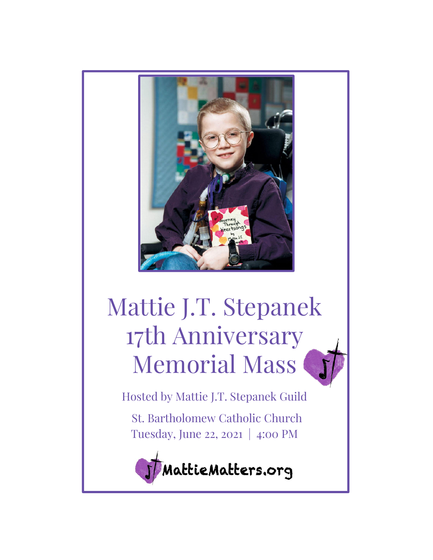

# Mattie J.T. Stepanek 17th Anniversary Memorial Mass

Hosted by Mattie J.T. Stepanek Guild St. Bartholomew Catholic Church Tuesday, June 22, 2021 | 4:00 PM

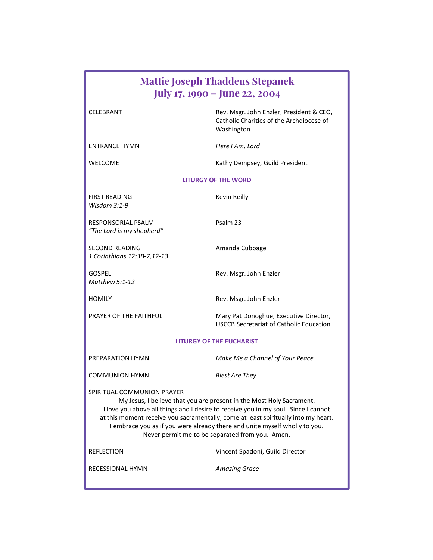| <b>Mattie Joseph Thaddeus Stepanek</b><br>July 17, 1990 – June 22, 2004                                                                                                                                                                                                                                                                                                                                         |                                                                                                    |
|-----------------------------------------------------------------------------------------------------------------------------------------------------------------------------------------------------------------------------------------------------------------------------------------------------------------------------------------------------------------------------------------------------------------|----------------------------------------------------------------------------------------------------|
| CELEBRANT                                                                                                                                                                                                                                                                                                                                                                                                       | Rev. Msgr. John Enzler, President & CEO,<br>Catholic Charities of the Archdiocese of<br>Washington |
| <b>ENTRANCE HYMN</b>                                                                                                                                                                                                                                                                                                                                                                                            | Here I Am, Lord                                                                                    |
| WELCOME                                                                                                                                                                                                                                                                                                                                                                                                         | Kathy Dempsey, Guild President                                                                     |
| <b>LITURGY OF THE WORD</b>                                                                                                                                                                                                                                                                                                                                                                                      |                                                                                                    |
| <b>FIRST READING</b><br>Wisdom $3:1-9$                                                                                                                                                                                                                                                                                                                                                                          | Kevin Reilly                                                                                       |
| RESPONSORIAL PSALM<br>"The Lord is my shepherd"                                                                                                                                                                                                                                                                                                                                                                 | Psalm 23                                                                                           |
| <b>SECOND READING</b><br>1 Corinthians 12:3B-7,12-13                                                                                                                                                                                                                                                                                                                                                            | Amanda Cubbage                                                                                     |
| <b>GOSPEL</b><br><b>Matthew 5:1-12</b>                                                                                                                                                                                                                                                                                                                                                                          | Rev. Msgr. John Enzler                                                                             |
| HOMILY                                                                                                                                                                                                                                                                                                                                                                                                          | Rev. Msgr. John Enzler                                                                             |
| PRAYER OF THE FAITHFUL                                                                                                                                                                                                                                                                                                                                                                                          | Mary Pat Donoghue, Executive Director,<br><b>USCCB Secretariat of Catholic Education</b>           |
| <b>LITURGY OF THE EUCHARIST</b>                                                                                                                                                                                                                                                                                                                                                                                 |                                                                                                    |
| PREPARATION HYMN                                                                                                                                                                                                                                                                                                                                                                                                | Make Me a Channel of Your Peace                                                                    |
| COMMUNION HYMN                                                                                                                                                                                                                                                                                                                                                                                                  | <b>Blest Are They</b>                                                                              |
| SPIRITUAL COMMUNION PRAYER<br>My Jesus, I believe that you are present in the Most Holy Sacrament.<br>I love you above all things and I desire to receive you in my soul. Since I cannot<br>at this moment receive you sacramentally, come at least spiritually into my heart.<br>I embrace you as if you were already there and unite myself wholly to you.<br>Never permit me to be separated from you. Amen. |                                                                                                    |
| REFLECTION                                                                                                                                                                                                                                                                                                                                                                                                      | Vincent Spadoni, Guild Director                                                                    |
| RECESSIONAL HYMN                                                                                                                                                                                                                                                                                                                                                                                                | <b>Amazing Grace</b>                                                                               |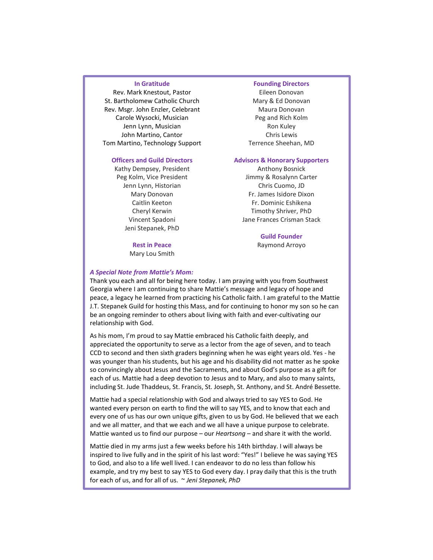### In Gratitude

Rev. Mark Knestout, Pastor St. Bartholomew Catholic Church Rev. Msgr. John Enzler, Celebrant Carole Wysocki, Musician Jenn Lynn, Musician John Martino, Cantor Tom Martino, Technology Support

#### Officers and Guild Directors

Kathy Dempsey, President Peg Kolm, Vice President Jenn Lynn, Historian Mary Donovan Caitlin Keeton Cheryl Kerwin Vincent Spadoni Jeni Stepanek, PhD

> Rest in Peace Mary Lou Smith

### Founding Directors

Eileen Donovan Mary & Ed Donovan Maura Donovan Peg and Rich Kolm Ron Kuley Chris Lewis Terrence Sheehan, MD

#### Advisors & Honorary Supporters

Anthony Bosnick Jimmy & Rosalynn Carter Chris Cuomo, JD Fr. James Isidore Dixon Fr. Dominic Eshikena Timothy Shriver, PhD Jane Frances Crisman Stack

> Guild Founder Raymond Arroyo

## A Special Note from Mattie's Mom:

Thank you each and all for being here today. I am praying with you from Southwest Georgia where I am continuing to share Mattie's message and legacy of hope and peace, a legacy he learned from practicing his Catholic faith. I am grateful to the Mattie J.T. Stepanek Guild for hosting this Mass, and for continuing to honor my son so he can be an ongoing reminder to others about living with faith and ever-cultivating our relationship with God.

As his mom, I'm proud to say Mattie embraced his Catholic faith deeply, and appreciated the opportunity to serve as a lector from the age of seven, and to teach CCD to second and then sixth graders beginning when he was eight years old. Yes - he was younger than his students, but his age and his disability did not matter as he spoke so convincingly about Jesus and the Sacraments, and about God's purpose as a gift for each of us. Mattie had a deep devotion to Jesus and to Mary, and also to many saints, including St. Jude Thaddeus, St. Francis, St. Joseph, St. Anthony, and St. André Bessette.

Mattie had a special relationship with God and always tried to say YES to God. He wanted every person on earth to find the will to say YES, and to know that each and every one of us has our own unique gifts, given to us by God. He believed that we each and we all matter, and that we each and we all have a unique purpose to celebrate. Mattie wanted us to find our purpose – our Heartsong – and share it with the world.

Mattie died in my arms just a few weeks before his 14th birthday. I will always be inspired to live fully and in the spirit of his last word: "Yes!" I believe he was saying YES to God, and also to a life well lived. I can endeavor to do no less than follow his example, and try my best to say YES to God every day. I pray daily that this is the truth for each of us, and for all of us. ~ Jeni Stepanek, PhD